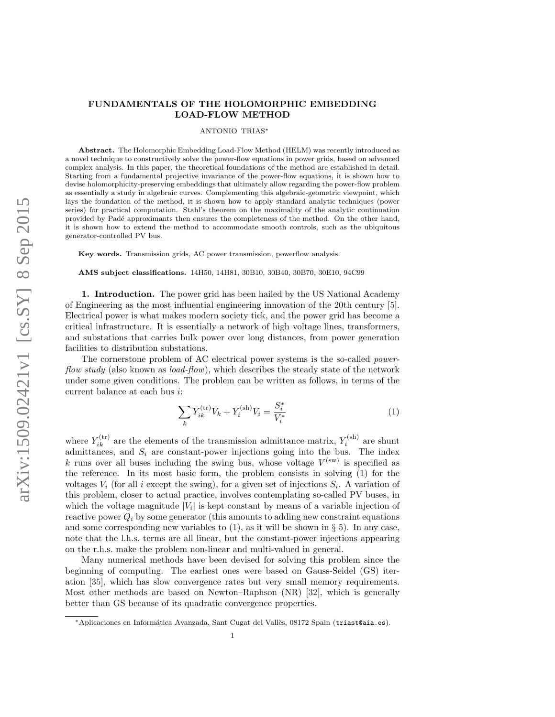# FUNDAMENTALS OF THE HOLOMORPHIC EMBEDDING LOAD-FLOW METHOD

#### ANTONIO TRIAS<sup>∗</sup>

Abstract. The Holomorphic Embedding Load-Flow Method (HELM) was recently introduced as a novel technique to constructively solve the power-flow equations in power grids, based on advanced complex analysis. In this paper, the theoretical foundations of the method are established in detail. Starting from a fundamental projective invariance of the power-flow equations, it is shown how to devise holomorphicity-preserving embeddings that ultimately allow regarding the power-flow problem as essentially a study in algebraic curves. Complementing this algebraic-geometric viewpoint, which lays the foundation of the method, it is shown how to apply standard analytic techniques (power series) for practical computation. Stahl's theorem on the maximality of the analytic continuation provided by Padé approximants then ensures the completeness of the method. On the other hand, it is shown how to extend the method to accommodate smooth controls, such as the ubiquitous generator-controlled PV bus.

Key words. Transmission grids, AC power transmission, powerflow analysis.

AMS subject classifications. 14H50, 14H81, 30B10, 30B40, 30B70, 30E10, 94C99

<span id="page-0-1"></span>1. Introduction. The power grid has been hailed by the US National Academy of Engineering as the most influential engineering innovation of the 20th century [\[5\]](#page-15-0). Electrical power is what makes modern society tick, and the power grid has become a critical infrastructure. It is essentially a network of high voltage lines, transformers, and substations that carries bulk power over long distances, from power generation facilities to distribution substations.

The cornerstone problem of AC electrical power systems is the so-called powerflow study (also known as *load-flow*), which describes the steady state of the network under some given conditions. The problem can be written as follows, in terms of the current balance at each bus i:

<span id="page-0-0"></span>
$$
\sum_{k} Y_{ik}^{(\text{tr})} V_k + Y_i^{(\text{sh})} V_i = \frac{S_i^*}{V_i^*}
$$
 (1)

where  $Y_{ik}^{(tr)}$  are the elements of the transmission admittance matrix,  $Y_i^{(sh)}$  are shunt admittances, and  $S_i$  are constant-power injections going into the bus. The index k runs over all buses including the swing bus, whose voltage  $V^{(\text{sw})}$  is specified as the reference. In its most basic form, the problem consists in solving [\(1\)](#page-0-0) for the voltages  $V_i$  (for all i except the swing), for a given set of injections  $S_i$ . A variation of this problem, closer to actual practice, involves contemplating so-called PV buses, in which the voltage magnitude  $|V_i|$  is kept constant by means of a variable injection of reactive power  $Q_i$  by some generator (this amounts to adding new constraint equations and some corresponding new variables to  $(1)$ , as it will be shown in § [5\)](#page-10-0). In any case, note that the l.h.s. terms are all linear, but the constant-power injections appearing on the r.h.s. make the problem non-linear and multi-valued in general.

Many numerical methods have been devised for solving this problem since the beginning of computing. The earliest ones were based on Gauss-Seidel (GS) iteration [\[35\]](#page-16-0), which has slow convergence rates but very small memory requirements. Most other methods are based on Newton–Raphson (NR) [\[32\]](#page-16-1), which is generally better than GS because of its quadratic convergence properties.

<sup>∗</sup>Aplicaciones en Inform´atica Avanzada, Sant Cugat del Vall`es, 08172 Spain (triast@aia.es).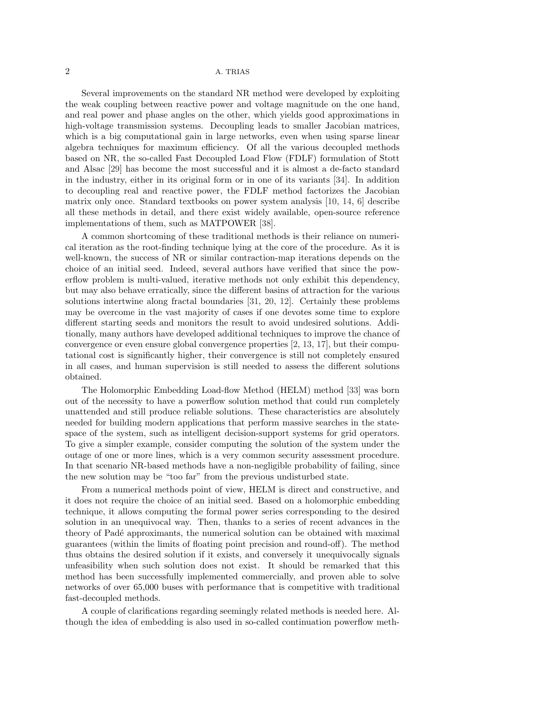Several improvements on the standard NR method were developed by exploiting the weak coupling between reactive power and voltage magnitude on the one hand, and real power and phase angles on the other, which yields good approximations in high-voltage transmission systems. Decoupling leads to smaller Jacobian matrices, which is a big computational gain in large networks, even when using sparse linear algebra techniques for maximum efficiency. Of all the various decoupled methods based on NR, the so-called Fast Decoupled Load Flow (FDLF) formulation of Stott and Alsac [\[29\]](#page-16-2) has become the most successful and it is almost a de-facto standard in the industry, either in its original form or in one of its variants [\[34\]](#page-16-3). In addition to decoupling real and reactive power, the FDLF method factorizes the Jacobian matrix only once. Standard textbooks on power system analysis [\[10,](#page-15-1) [14,](#page-15-2) [6\]](#page-15-3) describe all these methods in detail, and there exist widely available, open-source reference implementations of them, such as MATPOWER [\[38\]](#page-16-4).

A common shortcoming of these traditional methods is their reliance on numerical iteration as the root-finding technique lying at the core of the procedure. As it is well-known, the success of NR or similar contraction-map iterations depends on the choice of an initial seed. Indeed, several authors have verified that since the powerflow problem is multi-valued, iterative methods not only exhibit this dependency, but may also behave erratically, since the different basins of attraction for the various solutions intertwine along fractal boundaries [\[31,](#page-16-5) [20,](#page-15-4) [12\]](#page-15-5). Certainly these problems may be overcome in the vast majority of cases if one devotes some time to explore different starting seeds and monitors the result to avoid undesired solutions. Additionally, many authors have developed additional techniques to improve the chance of convergence or even ensure global convergence properties [\[2,](#page-15-6) [13,](#page-15-7) [17\]](#page-15-8), but their computational cost is significantly higher, their convergence is still not completely ensured in all cases, and human supervision is still needed to assess the different solutions obtained.

The Holomorphic Embedding Load-flow Method (HELM) method [\[33\]](#page-16-6) was born out of the necessity to have a powerflow solution method that could run completely unattended and still produce reliable solutions. These characteristics are absolutely needed for building modern applications that perform massive searches in the statespace of the system, such as intelligent decision-support systems for grid operators. To give a simpler example, consider computing the solution of the system under the outage of one or more lines, which is a very common security assessment procedure. In that scenario NR-based methods have a non-negligible probability of failing, since the new solution may be "too far" from the previous undisturbed state.

From a numerical methods point of view, HELM is direct and constructive, and it does not require the choice of an initial seed. Based on a holomorphic embedding technique, it allows computing the formal power series corresponding to the desired solution in an unequivocal way. Then, thanks to a series of recent advances in the theory of Padé approximants, the numerical solution can be obtained with maximal guarantees (within the limits of floating point precision and round-off). The method thus obtains the desired solution if it exists, and conversely it unequivocally signals unfeasibility when such solution does not exist. It should be remarked that this method has been successfully implemented commercially, and proven able to solve networks of over 65,000 buses with performance that is competitive with traditional fast-decoupled methods.

A couple of clarifications regarding seemingly related methods is needed here. Although the idea of embedding is also used in so-called continuation powerflow meth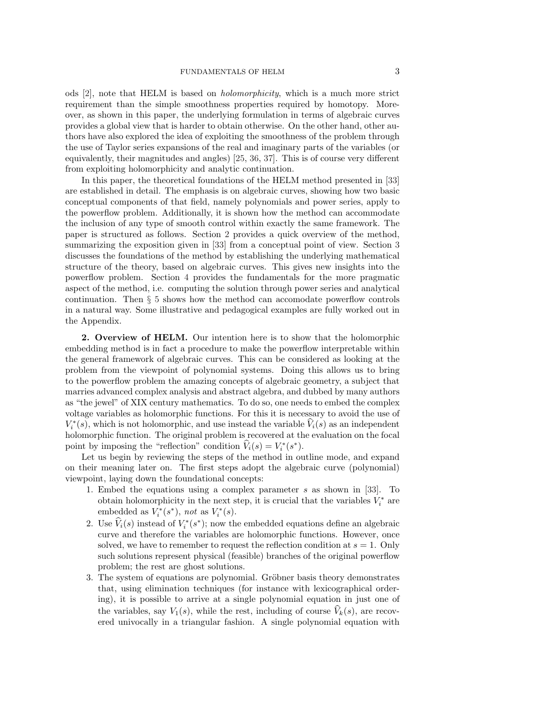ods [\[2\]](#page-15-6), note that HELM is based on holomorphicity, which is a much more strict requirement than the simple smoothness properties required by homotopy. Moreover, as shown in this paper, the underlying formulation in terms of algebraic curves provides a global view that is harder to obtain otherwise. On the other hand, other authors have also explored the idea of exploiting the smoothness of the problem through the use of Taylor series expansions of the real and imaginary parts of the variables (or equivalently, their magnitudes and angles) [\[25,](#page-15-9) [36,](#page-16-7) [37\]](#page-16-8). This is of course very different from exploiting holomorphicity and analytic continuation.

In this paper, the theoretical foundations of the HELM method presented in [\[33\]](#page-16-6) are established in detail. The emphasis is on algebraic curves, showing how two basic conceptual components of that field, namely polynomials and power series, apply to the powerflow problem. Additionally, it is shown how the method can accommodate the inclusion of any type of smooth control within exactly the same framework. The paper is structured as follows. Section [2](#page-2-0) provides a quick overview of the method, summarizing the exposition given in [\[33\]](#page-16-6) from a conceptual point of view. Section [3](#page-3-0) discusses the foundations of the method by establishing the underlying mathematical structure of the theory, based on algebraic curves. This gives new insights into the powerflow problem. Section [4](#page-6-0) provides the fundamentals for the more pragmatic aspect of the method, i.e. computing the solution through power series and analytical continuation. Then § [5](#page-10-0) shows how the method can accomodate powerflow controls in a natural way. Some illustrative and pedagogical examples are fully worked out in the Appendix.

<span id="page-2-0"></span>2. Overview of HELM. Our intention here is to show that the holomorphic embedding method is in fact a procedure to make the powerflow interpretable within the general framework of algebraic curves. This can be considered as looking at the problem from the viewpoint of polynomial systems. Doing this allows us to bring to the powerflow problem the amazing concepts of algebraic geometry, a subject that marries advanced complex analysis and abstract algebra, and dubbed by many authors as "the jewel" of XIX century mathematics. To do so, one needs to embed the complex voltage variables as holomorphic functions. For this it is necessary to avoid the use of  $V_i^*(s)$ , which is not holomorphic, and use instead the variable  $\hat{V}_i(s)$  as an independent holomorphic function. The original problem is recovered at the evaluation on the focal point by imposing the "reflection" condition  $\hat{V}_i(s) = V_i^*(s^*).$ 

Let us begin by reviewing the steps of the method in outline mode, and expand on their meaning later on. The first steps adopt the algebraic curve (polynomial) viewpoint, laying down the foundational concepts:

- 1. Embed the equations using a complex parameter s as shown in [\[33\]](#page-16-6). To obtain holomorphicity in the next step, it is crucial that the variables  $V_i^*$  are embedded as  $V_i^*(s^*)$ , not as  $V_i^*(s)$ .
- 2. Use  $\hat{V}_i(s)$  instead of  $V_i^*(s^*)$ ; now the embedded equations define an algebraic curve and therefore the variables are holomorphic functions. However, once solved, we have to remember to request the reflection condition at  $s = 1$ . Only such solutions represent physical (feasible) branches of the original powerflow problem; the rest are ghost solutions.
- 3. The system of equations are polynomial. Gröbner basis theory demonstrates that, using elimination techniques (for instance with lexicographical ordering), it is possible to arrive at a single polynomial equation in just one of the variables, say  $V_1(s)$ , while the rest, including of course  $V_k(s)$ , are recovered univocally in a triangular fashion. A single polynomial equation with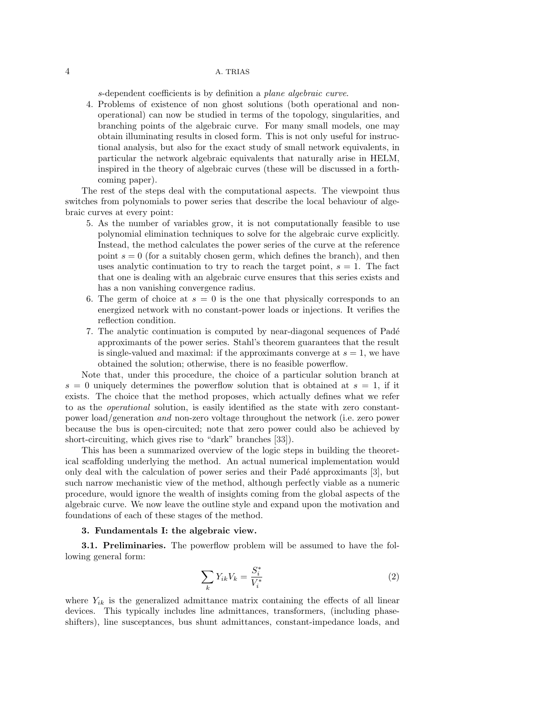s-dependent coefficients is by definition a plane algebraic curve.

4. Problems of existence of non ghost solutions (both operational and nonoperational) can now be studied in terms of the topology, singularities, and branching points of the algebraic curve. For many small models, one may obtain illuminating results in closed form. This is not only useful for instructional analysis, but also for the exact study of small network equivalents, in particular the network algebraic equivalents that naturally arise in HELM, inspired in the theory of algebraic curves (these will be discussed in a forthcoming paper).

The rest of the steps deal with the computational aspects. The viewpoint thus switches from polynomials to power series that describe the local behaviour of algebraic curves at every point:

- 5. As the number of variables grow, it is not computationally feasible to use polynomial elimination techniques to solve for the algebraic curve explicitly. Instead, the method calculates the power series of the curve at the reference point  $s = 0$  (for a suitably chosen germ, which defines the branch), and then uses analytic continuation to try to reach the target point,  $s = 1$ . The fact that one is dealing with an algebraic curve ensures that this series exists and has a non vanishing convergence radius.
- 6. The germ of choice at  $s = 0$  is the one that physically corresponds to an energized network with no constant-power loads or injections. It verifies the reflection condition.
- 7. The analytic continuation is computed by near-diagonal sequences of Pad´e approximants of the power series. Stahl's theorem guarantees that the result is single-valued and maximal: if the approximants converge at  $s = 1$ , we have obtained the solution; otherwise, there is no feasible powerflow.

Note that, under this procedure, the choice of a particular solution branch at  $s = 0$  uniquely determines the powerflow solution that is obtained at  $s = 1$ , if it exists. The choice that the method proposes, which actually defines what we refer to as the operational solution, is easily identified as the state with zero constantpower load/generation and non-zero voltage throughout the network (i.e. zero power because the bus is open-circuited; note that zero power could also be achieved by short-circuiting, which gives rise to "dark" branches [\[33\]](#page-16-6)).

This has been a summarized overview of the logic steps in building the theoretical scaffolding underlying the method. An actual numerical implementation would only deal with the calculation of power series and their Padé approximants [\[3\]](#page-15-10), but such narrow mechanistic view of the method, although perfectly viable as a numeric procedure, would ignore the wealth of insights coming from the global aspects of the algebraic curve. We now leave the outline style and expand upon the motivation and foundations of each of these stages of the method.

# <span id="page-3-0"></span>3. Fundamentals I: the algebraic view.

3.1. Preliminaries. The powerflow problem will be assumed to have the following general form:

<span id="page-3-1"></span>
$$
\sum_{k} Y_{ik} V_k = \frac{S_i^*}{V_i^*} \tag{2}
$$

where  $Y_{ik}$  is the generalized admittance matrix containing the effects of all linear devices. This typically includes line admittances, transformers, (including phaseshifters), line susceptances, bus shunt admittances, constant-impedance loads, and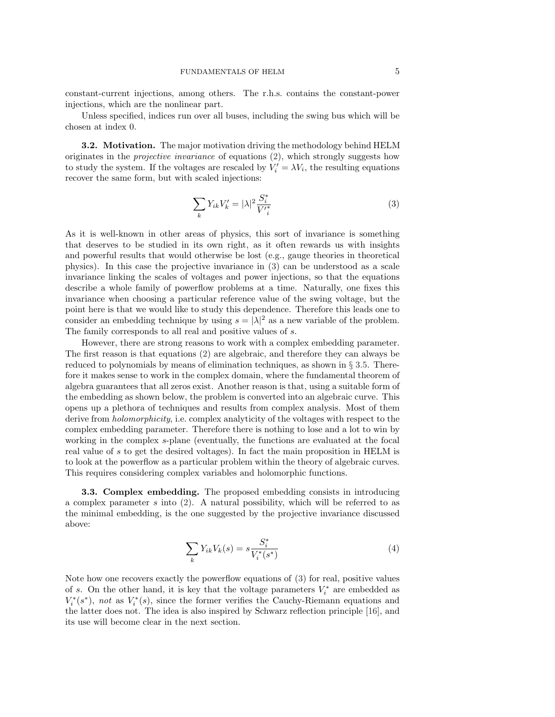constant-current injections, among others. The r.h.s. contains the constant-power injections, which are the nonlinear part.

Unless specified, indices run over all buses, including the swing bus which will be chosen at index 0.

**3.2. Motivation.** The major motivation driving the methodology behind HELM originates in the projective invariance of equations [\(2\)](#page-3-1), which strongly suggests how to study the system. If the voltages are rescaled by  $V_i' = \lambda V_i$ , the resulting equations recover the same form, but with scaled injections:

<span id="page-4-0"></span>
$$
\sum_{k} Y_{ik} V'_{k} = |\lambda|^{2} \frac{S_{i}^{*}}{V'_{i}^{*}}
$$
\n
$$
\tag{3}
$$

As it is well-known in other areas of physics, this sort of invariance is something that deserves to be studied in its own right, as it often rewards us with insights and powerful results that would otherwise be lost (e.g., gauge theories in theoretical physics). In this case the projective invariance in [\(3\)](#page-4-0) can be understood as a scale invariance linking the scales of voltages and power injections, so that the equations describe a whole family of powerflow problems at a time. Naturally, one fixes this invariance when choosing a particular reference value of the swing voltage, but the point here is that we would like to study this dependence. Therefore this leads one to consider an embedding technique by using  $s = |\lambda|^2$  as a new variable of the problem. The family corresponds to all real and positive values of s.

However, there are strong reasons to work with a complex embedding parameter. The first reason is that equations [\(2\)](#page-3-1) are algebraic, and therefore they can always be reduced to polynomials by means of elimination techniques, as shown in § [3.5.](#page-5-0) Therefore it makes sense to work in the complex domain, where the fundamental theorem of algebra guarantees that all zeros exist. Another reason is that, using a suitable form of the embedding as shown below, the problem is converted into an algebraic curve. This opens up a plethora of techniques and results from complex analysis. Most of them derive from *holomorphicity*, i.e. complex analyticity of the voltages with respect to the complex embedding parameter. Therefore there is nothing to lose and a lot to win by working in the complex s-plane (eventually, the functions are evaluated at the focal real value of s to get the desired voltages). In fact the main proposition in HELM is to look at the powerflow as a particular problem within the theory of algebraic curves. This requires considering complex variables and holomorphic functions.

<span id="page-4-1"></span>3.3. Complex embedding. The proposed embedding consists in introducing a complex parameter s into [\(2\)](#page-3-1). A natural possibility, which will be referred to as the minimal embedding, is the one suggested by the projective invariance discussed above:

$$
\sum_{k} Y_{ik} V_{k}(s) = s \frac{S_{i}^{*}}{V_{i}^{*}(s^{*})}
$$
\n(4)

Note how one recovers exactly the powerflow equations of [\(3\)](#page-4-0) for real, positive values of s. On the other hand, it is key that the voltage parameters  $V_i^*$  are embedded as  $V_i^*(s^*)$ , not as  $V_i^*(s)$ , since the former verifies the Cauchy-Riemann equations and the latter does not. The idea is also inspired by Schwarz reflection principle [\[16\]](#page-15-11), and its use will become clear in the next section.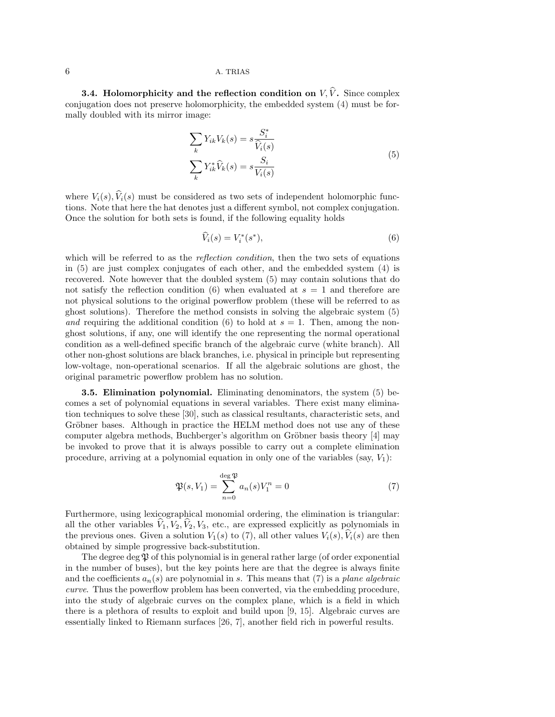**3.4. Holomorphicity and the reflection condition on**  $V, \hat{V}$ . Since complex conjugation does not preserve holomorphicity, the embedded system [\(4\)](#page-4-1) must be formally doubled with its mirror image:

<span id="page-5-1"></span>
$$
\sum_{k} Y_{ik} V_{k}(s) = s \frac{S_{i}^{*}}{\widehat{V}_{i}(s)}
$$
  

$$
\sum_{k} Y_{ik}^{*} \widehat{V}_{k}(s) = s \frac{S_{i}}{V_{i}(s)}
$$
 (5)

where  $V_i(s)$ ,  $\widehat{V}_i(s)$  must be considered as two sets of independent holomorphic functions. Note that here the hat denotes just a different symbol, not complex conjugation. Once the solution for both sets is found, if the following equality holds

<span id="page-5-2"></span>
$$
\widehat{V}_i(s) = V_i^*(s^*),\tag{6}
$$

which will be referred to as the *reflection condition*, then the two sets of equations in [\(5\)](#page-5-1) are just complex conjugates of each other, and the embedded system [\(4\)](#page-4-1) is recovered. Note however that the doubled system [\(5\)](#page-5-1) may contain solutions that do not satisfy the reflection condition [\(6\)](#page-5-2) when evaluated at  $s = 1$  and therefore are not physical solutions to the original powerflow problem (these will be referred to as ghost solutions). Therefore the method consists in solving the algebraic system [\(5\)](#page-5-1) and requiring the additional condition [\(6\)](#page-5-2) to hold at  $s = 1$ . Then, among the nonghost solutions, if any, one will identify the one representing the normal operational condition as a well-defined specific branch of the algebraic curve (white branch). All other non-ghost solutions are black branches, i.e. physical in principle but representing low-voltage, non-operational scenarios. If all the algebraic solutions are ghost, the original parametric powerflow problem has no solution.

<span id="page-5-0"></span>3.5. Elimination polynomial. Eliminating denominators, the system [\(5\)](#page-5-1) becomes a set of polynomial equations in several variables. There exist many elimination techniques to solve these [\[30\]](#page-16-9), such as classical resultants, characteristic sets, and Gröbner bases. Although in practice the HELM method does not use any of these computer algebra methods, Buchberger's algorithm on Gröbner basis theory [\[4\]](#page-15-12) may be invoked to prove that it is always possible to carry out a complete elimination procedure, arriving at a polynomial equation in only one of the variables (say,  $V_1$ ):

<span id="page-5-3"></span>
$$
\mathfrak{P}(s, V_1) = \sum_{n=0}^{\deg \mathfrak{P}} a_n(s) V_1^n = 0 \tag{7}
$$

Furthermore, using lexicographical monomial ordering, the elimination is triangular: all the other variables  $V_1, V_2, V_2, V_3$ , etc., are expressed explicitly as polynomials in the previous ones. Given a solution  $V_1(s)$  to [\(7\)](#page-5-3), all other values  $V_i(s)$ ,  $V_i(s)$  are then obtained by simple progressive back-substitution.

The degree deg  $\mathfrak P$  of this polynomial is in general rather large (of order exponential in the number of buses), but the key points here are that the degree is always finite and the coefficients  $a_n(s)$  are polynomial in s. This means that [\(7\)](#page-5-3) is a plane algebraic curve. Thus the powerflow problem has been converted, via the embedding procedure, into the study of algebraic curves on the complex plane, which is a field in which there is a plethora of results to exploit and build upon [\[9,](#page-15-13) [15\]](#page-15-14). Algebraic curves are essentially linked to Riemann surfaces [\[26,](#page-15-15) [7\]](#page-15-16), another field rich in powerful results.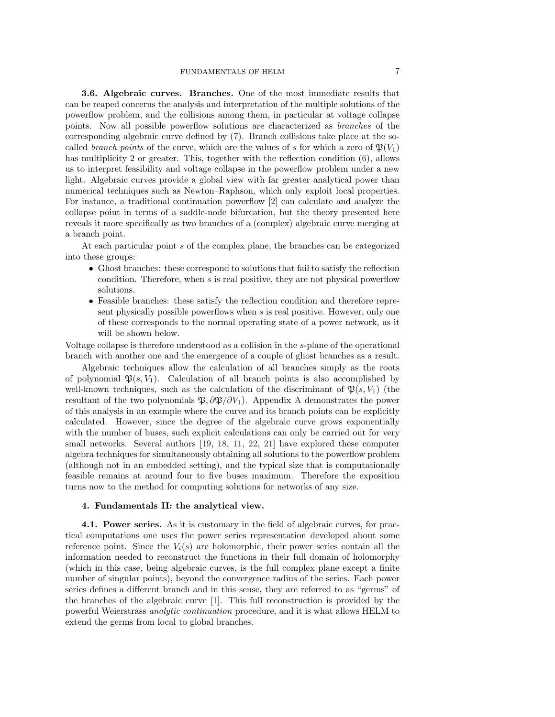## FUNDAMENTALS OF HELM 7

3.6. Algebraic curves. Branches. One of the most immediate results that can be reaped concerns the analysis and interpretation of the multiple solutions of the powerflow problem, and the collisions among them, in particular at voltage collapse points. Now all possible powerflow solutions are characterized as branches of the corresponding algebraic curve defined by [\(7\)](#page-5-3). Branch collisions take place at the socalled *branch points* of the curve, which are the values of s for which a zero of  $\mathfrak{P}(V_1)$ has multiplicity 2 or greater. This, together with the reflection condition  $(6)$ , allows us to interpret feasibility and voltage collapse in the powerflow problem under a new light. Algebraic curves provide a global view with far greater analytical power than numerical techniques such as Newton–Raphson, which only exploit local properties. For instance, a traditional continuation powerflow [\[2\]](#page-15-6) can calculate and analyze the collapse point in terms of a saddle-node bifurcation, but the theory presented here reveals it more specifically as two branches of a (complex) algebraic curve merging at a branch point.

At each particular point s of the complex plane, the branches can be categorized into these groups:

- Ghost branches: these correspond to solutions that fail to satisfy the reflection condition. Therefore, when s is real positive, they are not physical powerflow solutions.
- Feasible branches: these satisfy the reflection condition and therefore represent physically possible powerflows when s is real positive. However, only one of these corresponds to the normal operating state of a power network, as it will be shown below.

Voltage collapse is therefore understood as a collision in the s-plane of the operational branch with another one and the emergence of a couple of ghost branches as a result.

Algebraic techniques allow the calculation of all branches simply as the roots of polynomial  $\mathfrak{P}(s, V_1)$ . Calculation of all branch points is also accomplished by well-known techniques, such as the calculation of the discriminant of  $\mathfrak{P}(s, V_1)$  (the resultant of the two polynomials  $\mathfrak{P}, \partial \mathfrak{P}/\partial V_1$ . [A](#page-0-1)ppendix A demonstrates the power of this analysis in an example where the curve and its branch points can be explicitly calculated. However, since the degree of the algebraic curve grows exponentially with the number of buses, such explicit calculations can only be carried out for very small networks. Several authors [\[19,](#page-15-17) [18,](#page-15-18) [11,](#page-15-19) [22,](#page-15-20) [21\]](#page-15-21) have explored these computer algebra techniques for simultaneously obtaining all solutions to the powerflow problem (although not in an embedded setting), and the typical size that is computationally feasible remains at around four to five buses maximum. Therefore the exposition turns now to the method for computing solutions for networks of any size.

### <span id="page-6-0"></span>4. Fundamentals II: the analytical view.

4.1. Power series. As it is customary in the field of algebraic curves, for practical computations one uses the power series representation developed about some reference point. Since the  $V_i(s)$  are holomorphic, their power series contain all the information needed to reconstruct the functions in their full domain of holomorphy (which in this case, being algebraic curves, is the full complex plane except a finite number of singular points), beyond the convergence radius of the series. Each power series defines a different branch and in this sense, they are referred to as "germs" of the branches of the algebraic curve [\[1\]](#page-15-22). This full reconstruction is provided by the powerful Weierstrass analytic continuation procedure, and it is what allows HELM to extend the germs from local to global branches.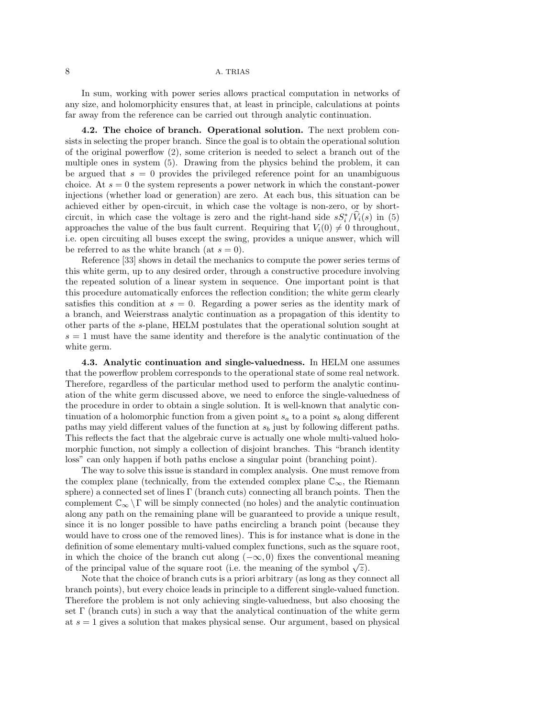In sum, working with power series allows practical computation in networks of any size, and holomorphicity ensures that, at least in principle, calculations at points far away from the reference can be carried out through analytic continuation.

4.2. The choice of branch. Operational solution. The next problem consists in selecting the proper branch. Since the goal is to obtain the operational solution of the original powerflow [\(2\)](#page-3-1), some criterion is needed to select a branch out of the multiple ones in system [\(5\)](#page-5-1). Drawing from the physics behind the problem, it can be argued that  $s = 0$  provides the privileged reference point for an unambiguous choice. At  $s = 0$  the system represents a power network in which the constant-power injections (whether load or generation) are zero. At each bus, this situation can be achieved either by open-circuit, in which case the voltage is non-zero, or by shortcircuit, in which case the voltage is zero and the right-hand side  $sS_i^*/\hat{V}_i(s)$  in [\(5\)](#page-5-1) approaches the value of the bus fault current. Requiring that  $V_i(0) \neq 0$  throughout, i.e. open circuiting all buses except the swing, provides a unique answer, which will be referred to as the white branch (at  $s = 0$ ).

Reference [\[33\]](#page-16-6) shows in detail the mechanics to compute the power series terms of this white germ, up to any desired order, through a constructive procedure involving the repeated solution of a linear system in sequence. One important point is that this procedure automatically enforces the reflection condition; the white germ clearly satisfies this condition at  $s = 0$ . Regarding a power series as the identity mark of a branch, and Weierstrass analytic continuation as a propagation of this identity to other parts of the s-plane, HELM postulates that the operational solution sought at  $s = 1$  must have the same identity and therefore is the analytic continuation of the white germ.

4.3. Analytic continuation and single-valuedness. In HELM one assumes that the powerflow problem corresponds to the operational state of some real network. Therefore, regardless of the particular method used to perform the analytic continuation of the white germ discussed above, we need to enforce the single-valuedness of the procedure in order to obtain a single solution. It is well-known that analytic continuation of a holomorphic function from a given point  $s_a$  to a point  $s_b$  along different paths may yield different values of the function at  $s<sub>b</sub>$  just by following different paths. This reflects the fact that the algebraic curve is actually one whole multi-valued holomorphic function, not simply a collection of disjoint branches. This "branch identity loss" can only happen if both paths enclose a singular point (branching point).

The way to solve this issue is standard in complex analysis. One must remove from the complex plane (technically, from the extended complex plane  $\mathbb{C}_{\infty}$ , the Riemann sphere) a connected set of lines Γ (branch cuts) connecting all branch points. Then the complement  $\mathbb{C}_{\infty} \setminus \Gamma$  will be simply connected (no holes) and the analytic continuation along any path on the remaining plane will be guaranteed to provide a unique result, since it is no longer possible to have paths encircling a branch point (because they would have to cross one of the removed lines). This is for instance what is done in the definition of some elementary multi-valued complex functions, such as the square root, in which the choice of the branch cut along  $(-\infty, 0)$  fixes the conventional meaning of the principal value of the square root (i.e. the meaning of the symbol  $\sqrt{z}$ ).

Note that the choice of branch cuts is a priori arbitrary (as long as they connect all branch points), but every choice leads in principle to a different single-valued function. Therefore the problem is not only achieving single-valuedness, but also choosing the set  $\Gamma$  (branch cuts) in such a way that the analytical continuation of the white germ at  $s = 1$  gives a solution that makes physical sense. Our argument, based on physical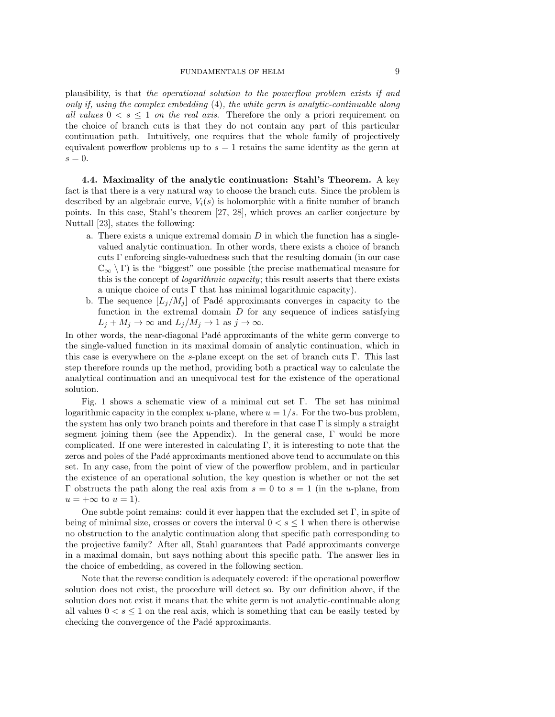plausibility, is that the operational solution to the powerflow problem exists if and only if, using the complex embedding [\(4\)](#page-4-1), the white germ is analytic-continuable along all values  $0 \lt s \leq 1$  on the real axis. Therefore the only a priori requirement on the choice of branch cuts is that they do not contain any part of this particular continuation path. Intuitively, one requires that the whole family of projectively equivalent powerflow problems up to  $s = 1$  retains the same identity as the germ at  $s = 0$ .

4.4. Maximality of the analytic continuation: Stahl's Theorem. A key fact is that there is a very natural way to choose the branch cuts. Since the problem is described by an algebraic curve,  $V_i(s)$  is holomorphic with a finite number of branch points. In this case, Stahl's theorem [\[27,](#page-16-10) [28\]](#page-16-11), which proves an earlier conjecture by Nuttall [\[23\]](#page-15-23), states the following:

- a. There exists a unique extremal domain  $D$  in which the function has a singlevalued analytic continuation. In other words, there exists a choice of branch cuts  $\Gamma$  enforcing single-valuedness such that the resulting domain (in our case  $\mathbb{C}_{\infty} \setminus \Gamma$ ) is the "biggest" one possible (the precise mathematical measure for this is the concept of *logarithmic capacity*; this result asserts that there exists a unique choice of cuts  $\Gamma$  that has minimal logarithmic capacity).
- b. The sequence  $[L_i/M_i]$  of Padé approximants converges in capacity to the function in the extremal domain  $D$  for any sequence of indices satisfying  $L_j + M_j \to \infty$  and  $L_j/M_j \to 1$  as  $j \to \infty$ .

In other words, the near-diagonal Padé approximants of the white germ converge to the single-valued function in its maximal domain of analytic continuation, which in this case is everywhere on the s-plane except on the set of branch cuts Γ. This last step therefore rounds up the method, providing both a practical way to calculate the analytical continuation and an unequivocal test for the existence of the operational solution.

Fig. [1](#page-9-0) shows a schematic view of a minimal cut set  $\Gamma$ . The set has minimal logarithmic capacity in the complex u-plane, where  $u = 1/s$ . For the two-bus problem, the system has only two branch points and therefore in that case  $\Gamma$  is simply a straight segment joining them (see the Appendix). In the general case, Γ would be more complicated. If one were interested in calculating Γ, it is interesting to note that the zeros and poles of the Padé approximants mentioned above tend to accumulate on this set. In any case, from the point of view of the powerflow problem, and in particular the existence of an operational solution, the key question is whether or not the set Γ obstructs the path along the real axis from  $s = 0$  to  $s = 1$  (in the u-plane, from  $u = +\infty$  to  $u = 1$ ).

One subtle point remains: could it ever happen that the excluded set  $\Gamma$ , in spite of being of minimal size, crosses or covers the interval  $0 < s \leq 1$  when there is otherwise no obstruction to the analytic continuation along that specific path corresponding to the projective family? After all, Stahl guarantees that Padé approximants converge in a maximal domain, but says nothing about this specific path. The answer lies in the choice of embedding, as covered in the following section.

Note that the reverse condition is adequately covered: if the operational powerflow solution does not exist, the procedure will detect so. By our definition above, if the solution does not exist it means that the white germ is not analytic-continuable along all values  $0 < s \leq 1$  on the real axis, which is something that can be easily tested by checking the convergence of the Padé approximants.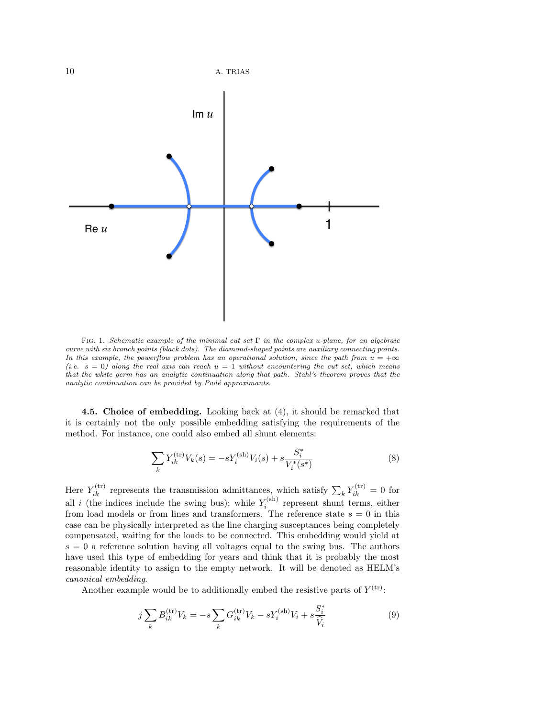

<span id="page-9-0"></span>FIG. 1. Schematic example of the minimal cut set  $\Gamma$  in the complex u-plane, for an algebraic curve with six branch points (black dots). The diamond-shaped points are auxiliary connecting points. In this example, the powerflow problem has an operational solution, since the path from  $u = +\infty$ (i.e.  $s = 0$ ) along the real axis can reach  $u = 1$  without encountering the cut set, which means that the white germ has an analytic continuation along that path. Stahl's theorem proves that the analytic continuation can be provided by  $Pad\acute{e}$  approximants.

4.5. Choice of embedding. Looking back at [\(4\)](#page-4-1), it should be remarked that it is certainly not the only possible embedding satisfying the requirements of the method. For instance, one could also embed all shunt elements:

<span id="page-9-1"></span>
$$
\sum_{k} Y_{ik}^{(\text{tr})} V_k(s) = -s Y_i^{(\text{sh})} V_i(s) + s \frac{S_i^*}{V_i^*(s^*)}
$$
(8)

Here  $Y_{ik}^{(tr)}$  represents the transmission admittances, which satisfy  $\sum_{k} Y_{ik}^{(tr)} = 0$  for all *i* (the indices include the swing bus); while  $Y_i^{(sh)}$  represent shunt terms, either from load models or from lines and transformers. The reference state  $s = 0$  in this case can be physically interpreted as the line charging susceptances being completely compensated, waiting for the loads to be connected. This embedding would yield at  $s = 0$  a reference solution having all voltages equal to the swing bus. The authors have used this type of embedding for years and think that it is probably the most reasonable identity to assign to the empty network. It will be denoted as HELM's canonical embedding.

Another example would be to additionally embed the resistive parts of  $Y^{(tr)}$ :

$$
j\sum_{k} B_{ik}^{(\text{tr})} V_k = -s\sum_{k} G_{ik}^{(\text{tr})} V_k - sY_i^{(\text{sh})} V_i + s\frac{S_i^*}{\hat{V}_i}
$$
(9)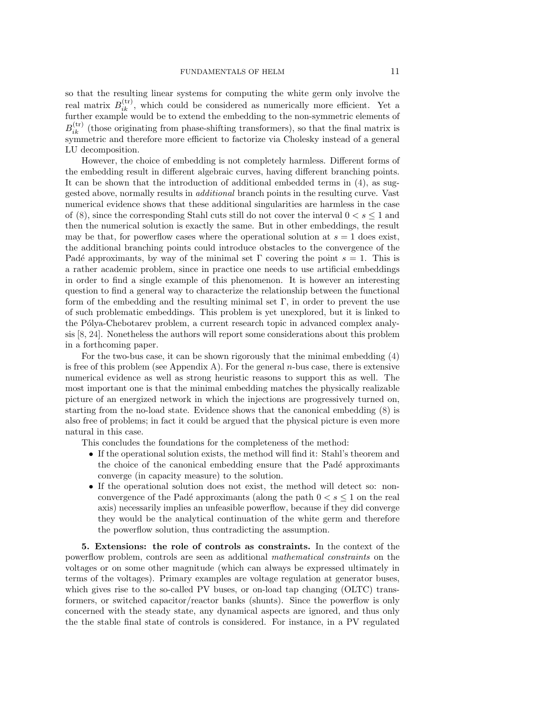so that the resulting linear systems for computing the white germ only involve the real matrix  $B_{ik}^{(tr)}$ , which could be considered as numerically more efficient. Yet a further example would be to extend the embedding to the non-symmetric elements of  $B_{ik}^{(\text{tr})}$  (those originating from phase-shifting transformers), so that the final matrix is symmetric and therefore more efficient to factorize via Cholesky instead of a general LU decomposition.

However, the choice of embedding is not completely harmless. Different forms of the embedding result in different algebraic curves, having different branching points. It can be shown that the introduction of additional embedded terms in [\(4\)](#page-4-1), as suggested above, normally results in additional branch points in the resulting curve. Vast numerical evidence shows that these additional singularities are harmless in the case of [\(8\)](#page-9-1), since the corresponding Stahl cuts still do not cover the interval  $0 < s < 1$  and then the numerical solution is exactly the same. But in other embeddings, the result may be that, for powerflow cases where the operational solution at  $s = 1$  does exist, the additional branching points could introduce obstacles to the convergence of the Padé approximants, by way of the minimal set  $\Gamma$  covering the point  $s = 1$ . This is a rather academic problem, since in practice one needs to use artificial embeddings in order to find a single example of this phenomenon. It is however an interesting question to find a general way to characterize the relationship between the functional form of the embedding and the resulting minimal set  $\Gamma$ , in order to prevent the use of such problematic embeddings. This problem is yet unexplored, but it is linked to the Pólya-Chebotarev problem, a current research topic in advanced complex analysis [\[8,](#page-15-24) [24\]](#page-15-25). Nonetheless the authors will report some considerations about this problem in a forthcoming paper.

For the two-bus case, it can be shown rigorously that the minimal embedding [\(4\)](#page-4-1) is free of this problem (see Appendix [A\)](#page-0-1). For the general  $n$ -bus case, there is extensive numerical evidence as well as strong heuristic reasons to support this as well. The most important one is that the minimal embedding matches the physically realizable picture of an energized network in which the injections are progressively turned on, starting from the no-load state. Evidence shows that the canonical embedding [\(8\)](#page-9-1) is also free of problems; in fact it could be argued that the physical picture is even more natural in this case.

This concludes the foundations for the completeness of the method:

- If the operational solution exists, the method will find it: Stahl's theorem and the choice of the canonical embedding ensure that the Padé approximants converge (in capacity measure) to the solution.
- If the operational solution does not exist, the method will detect so: nonconvergence of the Padé approximants (along the path  $0 < s \leq 1$  on the real axis) necessarily implies an unfeasible powerflow, because if they did converge they would be the analytical continuation of the white germ and therefore the powerflow solution, thus contradicting the assumption.

<span id="page-10-0"></span>5. Extensions: the role of controls as constraints. In the context of the powerflow problem, controls are seen as additional mathematical constraints on the voltages or on some other magnitude (which can always be expressed ultimately in terms of the voltages). Primary examples are voltage regulation at generator buses, which gives rise to the so-called PV buses, or on-load tap changing (OLTC) transformers, or switched capacitor/reactor banks (shunts). Since the powerflow is only concerned with the steady state, any dynamical aspects are ignored, and thus only the the stable final state of controls is considered. For instance, in a PV regulated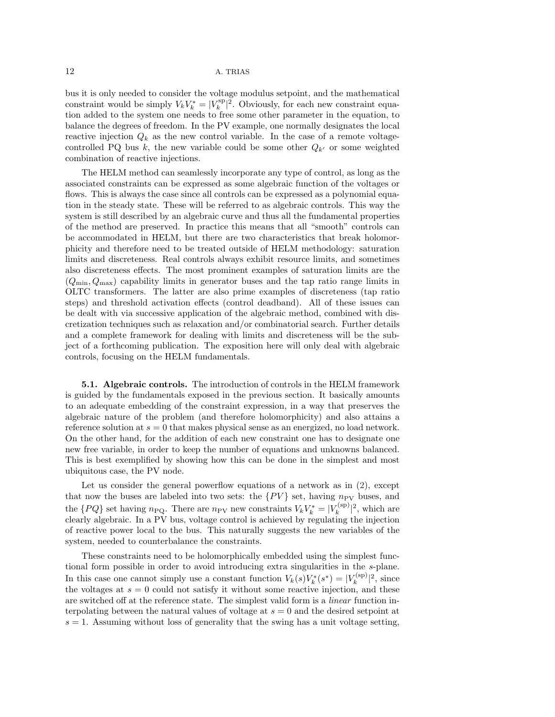bus it is only needed to consider the voltage modulus setpoint, and the mathematical constraint would be simply  $V_k V_k^* = |V_k^{\text{sp}}|^2$ . Obviously, for each new constraint equation added to the system one needs to free some other parameter in the equation, to balance the degrees of freedom. In the PV example, one normally designates the local reactive injection  $Q_k$  as the new control variable. In the case of a remote voltagecontrolled PQ bus k, the new variable could be some other  $Q_{k'}$  or some weighted combination of reactive injections.

The HELM method can seamlessly incorporate any type of control, as long as the associated constraints can be expressed as some algebraic function of the voltages or flows. This is always the case since all controls can be expressed as a polynomial equation in the steady state. These will be referred to as algebraic controls. This way the system is still described by an algebraic curve and thus all the fundamental properties of the method are preserved. In practice this means that all "smooth" controls can be accommodated in HELM, but there are two characteristics that break holomorphicity and therefore need to be treated outside of HELM methodology: saturation limits and discreteness. Real controls always exhibit resource limits, and sometimes also discreteness effects. The most prominent examples of saturation limits are the  $(Q_{\text{min}}, Q_{\text{max}})$  capability limits in generator buses and the tap ratio range limits in OLTC transformers. The latter are also prime examples of discreteness (tap ratio steps) and threshold activation effects (control deadband). All of these issues can be dealt with via successive application of the algebraic method, combined with discretization techniques such as relaxation and/or combinatorial search. Further details and a complete framework for dealing with limits and discreteness will be the subject of a forthcoming publication. The exposition here will only deal with algebraic controls, focusing on the HELM fundamentals.

5.1. Algebraic controls. The introduction of controls in the HELM framework is guided by the fundamentals exposed in the previous section. It basically amounts to an adequate embedding of the constraint expression, in a way that preserves the algebraic nature of the problem (and therefore holomorphicity) and also attains a reference solution at  $s = 0$  that makes physical sense as an energized, no load network. On the other hand, for the addition of each new constraint one has to designate one new free variable, in order to keep the number of equations and unknowns balanced. This is best exemplified by showing how this can be done in the simplest and most ubiquitous case, the PV node.

Let us consider the general powerflow equations of a network as in  $(2)$ , except that now the buses are labeled into two sets: the  $\{PV\}$  set, having  $n_{PV}$  buses, and the  $\{PQ\}$  set having  $n_{\text{PQ}}$ . There are  $n_{\text{PV}}$  new constraints  $V_k V_k^* = |V_k^{\text{(sp)}}|$  $\binom{\text{(sp)}}{k}$ , which are clearly algebraic. In a PV bus, voltage control is achieved by regulating the injection of reactive power local to the bus. This naturally suggests the new variables of the system, needed to counterbalance the constraints.

These constraints need to be holomorphically embedded using the simplest functional form possible in order to avoid introducing extra singularities in the s-plane. In this case one cannot simply use a constant function  $V_k(s)V_k^*(s^*) = |V_k^{\text{(sp)}}|$  $\binom{[sp]}{k}$ , since the voltages at  $s = 0$  could not satisfy it without some reactive injection, and these are switched off at the reference state. The simplest valid form is a linear function interpolating between the natural values of voltage at  $s = 0$  and the desired setpoint at  $s = 1$ . Assuming without loss of generality that the swing has a unit voltage setting,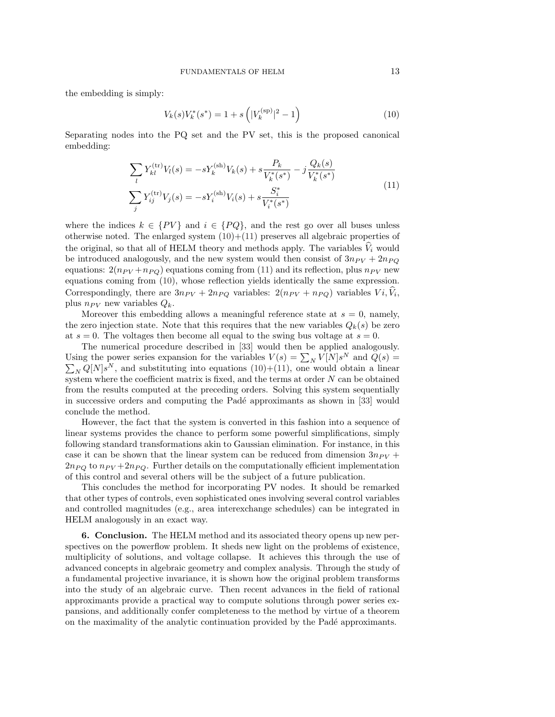the embedding is simply:

<span id="page-12-0"></span>
$$
V_k(s)V_k^*(s^*) = 1 + s\left(|V_k^{\text{(sp)}}|^2 - 1\right)
$$
\n(10)

Separating nodes into the PQ set and the PV set, this is the proposed canonical embedding:

<span id="page-12-1"></span>
$$
\sum_{l} Y_{kl}^{(\text{tr})} V_{l}(s) = -s Y_{k}^{(\text{sh})} V_{k}(s) + s \frac{P_{k}}{V_{k}^{*}(s^{*})} - j \frac{Q_{k}(s)}{V_{k}^{*}(s^{*})}
$$
\n
$$
\sum_{j} Y_{ij}^{(\text{tr})} V_{j}(s) = -s Y_{i}^{(\text{sh})} V_{i}(s) + s \frac{S_{i}^{*}}{V_{i}^{*}(s^{*})}
$$
\n
$$
(11)
$$

where the indices  $k \in \{PV\}$  and  $i \in \{PQ\}$ , and the rest go over all buses unless otherwise noted. The enlarged system  $(10)+(11)$  $(10)+(11)$  preserves all algebraic properties of the original, so that all of HELM theory and methods apply. The variables  $\widehat{V}_i$  would be introduced analogously, and the new system would then consist of  $3n_{PV} + 2n_{PQ}$ equations:  $2(n_{PV} + n_{PQ})$  equations coming from [\(11\)](#page-12-1) and its reflection, plus  $n_{PV}$  new equations coming from [\(10\)](#page-12-0), whose reflection yields identically the same expression. Correspondingly, there are  $3n_{PV} + 2n_{PQ}$  variables:  $2(n_{PV} + n_{PQ})$  variables  $Vi, V_i$ , plus  $n_{PV}$  new variables  $Q_k$ .

Moreover this embedding allows a meaningful reference state at  $s = 0$ , namely, the zero injection state. Note that this requires that the new variables  $Q_k(s)$  be zero at  $s = 0$ . The voltages then become all equal to the swing bus voltage at  $s = 0$ .

The numerical procedure described in [\[33\]](#page-16-6) would then be applied analogously. Using the power series expansion for the variables  $V(s) = \sum_{N} V[N]s^{N}$  and  $Q(s) =$  $\sum_{N} Q[N]s^{N}$ , and substituting into equations [\(10\)](#page-12-0)+[\(11\)](#page-12-1), one would obtain a linear system where the coefficient matrix is fixed, and the terms at order N can be obtained from the results computed at the preceding orders. Solving this system sequentially in successive orders and computing the Padé approximants as shown in [\[33\]](#page-16-6) would conclude the method.

However, the fact that the system is converted in this fashion into a sequence of linear systems provides the chance to perform some powerful simplifications, simply following standard transformations akin to Gaussian elimination. For instance, in this case it can be shown that the linear system can be reduced from dimension  $3n_{PV}$  +  $2n_{PO}$  to  $n_{PV} + 2n_{PO}$ . Further details on the computationally efficient implementation of this control and several others will be the subject of a future publication.

This concludes the method for incorporating PV nodes. It should be remarked that other types of controls, even sophisticated ones involving several control variables and controlled magnitudes (e.g., area interexchange schedules) can be integrated in HELM analogously in an exact way.

6. Conclusion. The HELM method and its associated theory opens up new perspectives on the powerflow problem. It sheds new light on the problems of existence, multiplicity of solutions, and voltage collapse. It achieves this through the use of advanced concepts in algebraic geometry and complex analysis. Through the study of a fundamental projective invariance, it is shown how the original problem transforms into the study of an algebraic curve. Then recent advances in the field of rational approximants provide a practical way to compute solutions through power series expansions, and additionally confer completeness to the method by virtue of a theorem on the maximality of the analytic continuation provided by the Pad´e approximants.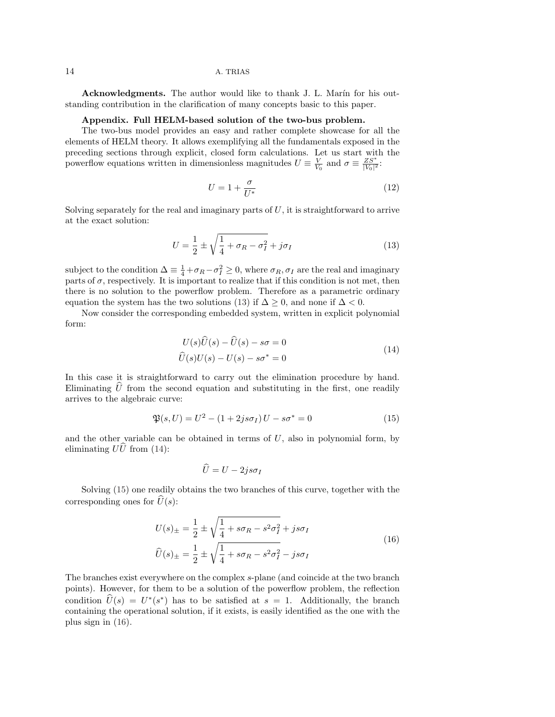Acknowledgments. The author would like to thank J. L. Marín for his outstanding contribution in the clarification of many concepts basic to this paper.

## Appendix. Full HELM-based solution of the two-bus problem.

The two-bus model provides an easy and rather complete showcase for all the elements of HELM theory. It allows exemplifying all the fundamentals exposed in the preceding sections through explicit, closed form calculations. Let us start with the powerflow equations written in dimensionless magnitudes  $U \equiv \frac{V}{V_0}$  and  $\sigma \equiv \frac{Z S^*}{|V_0|^2}$ :

$$
U = 1 + \frac{\sigma}{U^*}
$$
\n<sup>(12)</sup>

Solving separately for the real and imaginary parts of  $U$ , it is straightforward to arrive at the exact solution:

<span id="page-13-0"></span>
$$
U = \frac{1}{2} \pm \sqrt{\frac{1}{4} + \sigma_R - \sigma_I^2} + j\sigma_I
$$
\n(13)

subject to the condition  $\Delta = \frac{1}{4} + \sigma_R - \sigma_I^2 \ge 0$ , where  $\sigma_R$ ,  $\sigma_I$  are the real and imaginary parts of  $\sigma$ , respectively. It is important to realize that if this condition is not met, then there is no solution to the powerflow problem. Therefore as a parametric ordinary equation the system has the two solutions [\(13\)](#page-13-0) if  $\Delta \geq 0$ , and none if  $\Delta < 0$ .

<span id="page-13-1"></span>Now consider the corresponding embedded system, written in explicit polynomial form:

$$
U(s)\widehat{U}(s) - \widehat{U}(s) - s\sigma = 0
$$
  

$$
\widehat{U}(s)U(s) - U(s) - s\sigma^* = 0
$$
\n(14)

In this case it is straightforward to carry out the elimination procedure by hand. Eliminating  $\hat{U}$  from the second equation and substituting in the first, one readily arrives to the algebraic curve:

<span id="page-13-2"></span>
$$
\mathfrak{P}(s, U) = U^2 - (1 + 2js\sigma_I)U - s\sigma^* = 0
$$
\n(15)

and the other variable can be obtained in terms of  $U$ , also in polynomial form, by eliminating  $U\hat{U}$  from [\(14\)](#page-13-1):

<span id="page-13-3"></span>
$$
\widehat{U} = U - 2js\sigma_I
$$

Solving [\(15\)](#page-13-2) one readily obtains the two branches of this curve, together with the corresponding ones for  $\widehat{U}(s)$ :

$$
U(s)_{\pm} = \frac{1}{2} \pm \sqrt{\frac{1}{4} + s\sigma_R - s^2\sigma_I^2} + js\sigma_I
$$
  

$$
\widehat{U}(s)_{\pm} = \frac{1}{2} \pm \sqrt{\frac{1}{4} + s\sigma_R - s^2\sigma_I^2} - js\sigma_I
$$
 (16)

The branches exist everywhere on the complex s-plane (and coincide at the two branch points). However, for them to be a solution of the powerflow problem, the reflection condition  $\widehat{U}(s) = U^*(s^*)$  has to be satisfied at  $s = 1$ . Additionally, the branch containing the operational solution, if it exists, is easily identified as the one with the plus sign in [\(16\)](#page-13-3).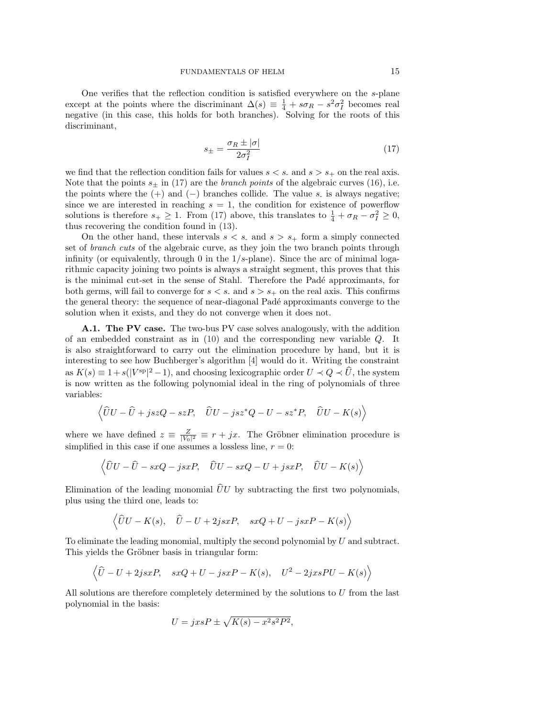<span id="page-14-0"></span>One verifies that the reflection condition is satisfied everywhere on the s-plane except at the points where the discriminant  $\Delta(s) \equiv \frac{1}{4} + s\sigma_R - s^2\sigma_I^2$  becomes real negative (in this case, this holds for both branches). Solving for the roots of this discriminant,

$$
s_{\pm} = \frac{\sigma_R \pm |\sigma|}{2\sigma_I^2} \tag{17}
$$

we find that the reflection condition fails for values  $s < s$ , and  $s > s<sub>+</sub>$  on the real axis. Note that the points  $s_{\pm}$  in [\(17\)](#page-14-0) are the *branch points* of the algebraic curves [\(16\)](#page-13-3), i.e. the points where the  $(+)$  and  $(-)$  branches collide. The value s<sub>r</sub> is always negative; since we are interested in reaching  $s = 1$ , the condition for existence of powerflow solutions is therefore  $s_+ \geq 1$ . From [\(17\)](#page-14-0) above, this translates to  $\frac{1}{4} + \sigma_R - \sigma_I^2 \geq 0$ , thus recovering the condition found in [\(13\)](#page-13-0).

On the other hand, these intervals  $s < s$ , and  $s > s$  form a simply connected set of branch cuts of the algebraic curve, as they join the two branch points through infinity (or equivalently, through 0 in the  $1/s$ -plane). Since the arc of minimal logarithmic capacity joining two points is always a straight segment, this proves that this is the minimal cut-set in the sense of Stahl. Therefore the Padé approximants, for both germs, will fail to converge for  $s < s$ , and  $s > s<sub>+</sub>$  on the real axis. This confirms the general theory: the sequence of near-diagonal Padé approximants converge to the solution when it exists, and they do not converge when it does not.

A.1. The PV case. The two-bus PV case solves analogously, with the addition of an embedded constraint as in [\(10\)](#page-12-0) and the corresponding new variable Q. It is also straightforward to carry out the elimination procedure by hand, but it is interesting to see how Buchberger's algorithm [\[4\]](#page-15-12) would do it. Writing the constraint as  $K(s) \equiv 1 + s(|V^{\text{sp}}|^2 - 1)$ , and choosing lexicographic order  $U \prec Q \prec \hat{U}$ , the system is now written as the following polynomial ideal in the ring of polynomials of three variables:

$$
\langle \hat{U}U - \hat{U} + jszQ - szP, \quad \hat{U}U - jsz^*Q - U - sz^*P, \quad \hat{U}U - K(s) \rangle
$$

where we have defined  $z \equiv \frac{Z}{|V_0|^2} \equiv r + jx$ . The Gröbner elimination procedure is simplified in this case if one assumes a lossless line,  $r = 0$ :

$$
\langle \hat{U}U - \hat{U} - sxQ - jsxP, \quad \hat{U}U - sxQ - U + jsxP, \quad \hat{U}U - K(s) \rangle
$$

Elimination of the leading monomial  $\hat{U}U$  by subtracting the first two polynomials, plus using the third one, leads to:

$$
\langle \hat{U}U - K(s), \quad \hat{U} - U + 2jsxP, \quad sxQ + U - jsxP - K(s) \rangle
$$

To eliminate the leading monomial, multiply the second polynomial by U and subtract. This yields the Gröbner basis in triangular form:

$$
\langle \hat{U} - U + 2jsxP, \quad sxQ + U - jsxP - K(s), \quad U^2 - 2jssPU - K(s) \rangle
$$

All solutions are therefore completely determined by the solutions to  $U$  from the last polynomial in the basis:

$$
U = jx s P \pm \sqrt{K(s) - x^2 s^2 P^2},
$$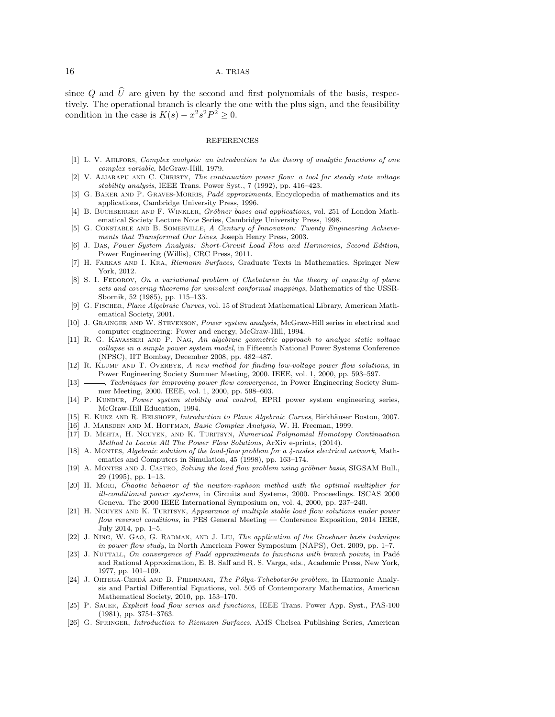since  $Q$  and  $U$  are given by the second and first polynomials of the basis, respectively. The operational branch is clearly the one with the plus sign, and the feasibility condition in the case is  $K(s) - x^2 s^2 P^2 \geq 0$ .

#### REFERENCES

- <span id="page-15-22"></span>[1] L. V. AHLFORS, Complex analysis: an introduction to the theory of analytic functions of one complex variable, McGraw-Hill, 1979.
- <span id="page-15-6"></span>[2] V. Ajjarapu and C. Christy, The continuation power flow: a tool for steady state voltage stability analysis, IEEE Trans. Power Syst., 7 (1992), pp. 416–423.
- <span id="page-15-10"></span>[3] G. BAKER AND P. GRAVES-MORRIS, Padé approximants, Encyclopedia of mathematics and its applications, Cambridge University Press, 1996.
- <span id="page-15-12"></span>[4] B. BUCHBERGER AND F. WINKLER, Gröbner bases and applications, vol. 251 of London Mathematical Society Lecture Note Series, Cambridge University Press, 1998.
- <span id="page-15-0"></span>[5] G. CONSTABLE AND B. SOMERVILLE, A Century of Innovation: Twenty Engineering Achievements that Transformed Our Lives, Joseph Henry Press, 2003.
- <span id="page-15-3"></span>[6] J. Das, Power System Analysis: Short-Circuit Load Flow and Harmonics, Second Edition, Power Engineering (Willis), CRC Press, 2011.
- <span id="page-15-16"></span>[7] H. Farkas and I. Kra, Riemann Surfaces, Graduate Texts in Mathematics, Springer New York, 2012.
- <span id="page-15-24"></span>[8] S. I. FEDOROV, On a variational problem of Chebotarev in the theory of capacity of plane sets and covering theorems for univalent conformal mappings, Mathematics of the USSR-Sbornik, 52 (1985), pp. 115–133.
- <span id="page-15-13"></span>[9] G. Fischer, Plane Algebraic Curves, vol. 15 of Student Mathematical Library, American Mathematical Society, 2001.
- <span id="page-15-1"></span>[10] J. Grainger and W. Stevenson, Power system analysis, McGraw-Hill series in electrical and computer engineering: Power and energy, McGraw-Hill, 1994.
- <span id="page-15-19"></span>[11] R. G. Kavasseri and P. Nag, An algebraic geometric approach to analyze static voltage collapse in a simple power system model, in Fifteenth National Power Systems Conference (NPSC), IIT Bombay, December 2008, pp. 482–487.
- <span id="page-15-5"></span>[12] R. Klump and T. Overbye, A new method for finding low-voltage power flow solutions, in Power Engineering Society Summer Meeting, 2000. IEEE, vol. 1, 2000, pp. 593–597.
- <span id="page-15-7"></span>[13]  $\frac{1}{3}$  *Techniques for improving power flow convergence*, in Power Engineering Society Summer Meeting, 2000. IEEE, vol. 1, 2000, pp. 598–603.
- <span id="page-15-2"></span>[14] P. KUNDUR, Power system stability and control, EPRI power system engineering series, McGraw-Hill Education, 1994.
- <span id="page-15-14"></span>[15] E. KUNZ AND R. BELSHOFF, *Introduction to Plane Algebraic Curves*, Birkhäuser Boston, 2007.
- <span id="page-15-11"></span>[16] J. Marsden and M. Hoffman, Basic Complex Analysis, W. H. Freeman, 1999.
- <span id="page-15-8"></span>[17] D. Mehta, H. Nguyen, and K. Turitsyn, Numerical Polynomial Homotopy Continuation Method to Locate All The Power Flow Solutions, ArXiv e-prints, (2014).
- <span id="page-15-18"></span>[18] A. Montes, Algebraic solution of the load-flow problem for a 4-nodes electrical network, Mathematics and Computers in Simulation, 45 (1998), pp. 163–174.
- <span id="page-15-17"></span>[19] A. MONTES AND J. CASTRO, Solving the load flow problem using gröbner basis, SIGSAM Bull., 29 (1995), pp. 1–13.
- <span id="page-15-4"></span>[20] H. Mori, Chaotic behavior of the newton-raphson method with the optimal multiplier for ill-conditioned power systems, in Circuits and Systems, 2000. Proceedings. ISCAS 2000 Geneva. The 2000 IEEE International Symposium on, vol. 4, 2000, pp. 237–240.
- <span id="page-15-21"></span>[21] H. NGUYEN AND K. TURITSYN, Appearance of multiple stable load flow solutions under power flow reversal conditions, in PES General Meeting — Conference Exposition, 2014 IEEE, July 2014, pp. 1–5.
- <span id="page-15-20"></span>[22] J. Ning, W. Gao, G. Radman, and J. Liu, The application of the Groebner basis technique in power flow study, in North American Power Symposium (NAPS), Oct. 2009, pp. 1–7.
- <span id="page-15-23"></span>[23] J. NUTTALL, On convergence of Padé approximants to functions with branch points, in Padé and Rational Approximation, E. B. Saff and R. S. Varga, eds., Academic Press, New York, 1977, pp. 101–109.
- <span id="page-15-25"></span>[24] J. ORTEGA-CERDÁ AND B. PRIDHNANI, The Pólya-Tchebotaröv problem, in Harmonic Analysis and Partial Differential Equations, vol. 505 of Contemporary Mathematics, American Mathematical Society, 2010, pp. 153–170.
- <span id="page-15-9"></span>[25] P. Sauer, Explicit load flow series and functions, IEEE Trans. Power App. Syst., PAS-100 (1981), pp. 3754–3763.
- <span id="page-15-15"></span>[26] G. Springer, Introduction to Riemann Surfaces, AMS Chelsea Publishing Series, American